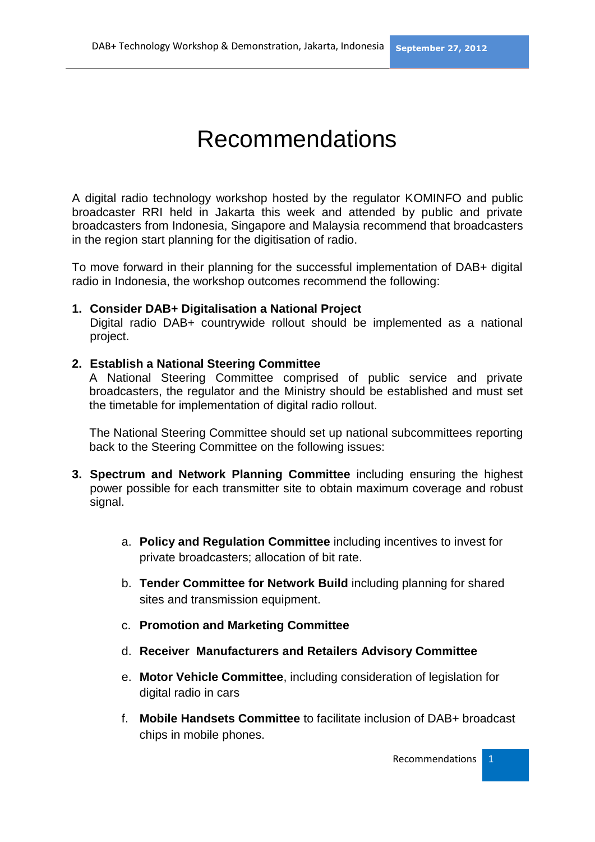## Recommendations

A digital radio technology workshop hosted by the regulator KOMINFO and public broadcaster RRI held in Jakarta this week and attended by public and private broadcasters from Indonesia, Singapore and Malaysia recommend that broadcasters in the region start planning for the digitisation of radio.

To move forward in their planning for the successful implementation of DAB+ digital radio in Indonesia, the workshop outcomes recommend the following:

## **1. Consider DAB+ Digitalisation a National Project**

Digital radio DAB+ countrywide rollout should be implemented as a national project.

## **2. Establish a National Steering Committee**

A National Steering Committee comprised of public service and private broadcasters, the regulator and the Ministry should be established and must set the timetable for implementation of digital radio rollout.

The National Steering Committee should set up national subcommittees reporting back to the Steering Committee on the following issues:

- **3. Spectrum and Network Planning Committee** including ensuring the highest power possible for each transmitter site to obtain maximum coverage and robust signal.
	- a. **Policy and Regulation Committee** including incentives to invest for private broadcasters; allocation of bit rate.
	- b. **Tender Committee for Network Build** including planning for shared sites and transmission equipment.
	- c. **Promotion and Marketing Committee**
	- d. **Receiver Manufacturers and Retailers Advisory Committee**
	- e. **Motor Vehicle Committee**, including consideration of legislation for digital radio in cars
	- f. **Mobile Handsets Committee** to facilitate inclusion of DAB+ broadcast chips in mobile phones.